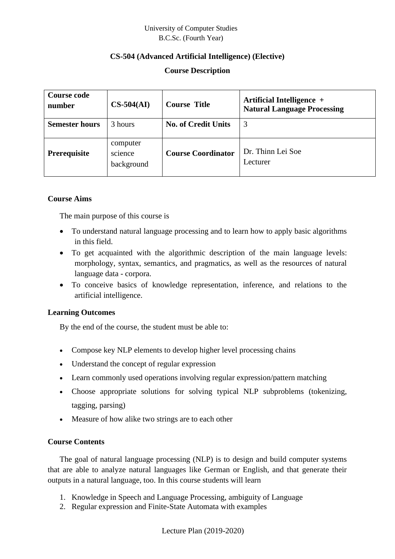# **CS-504 (Advanced Artificial Intelligence) (Elective)**

# **Course Description**

| <b>Course code</b><br>number | $CS-504(AI)$                      | <b>Course Title</b>        | Artificial Intelligence +<br><b>Natural Language Processing</b> |
|------------------------------|-----------------------------------|----------------------------|-----------------------------------------------------------------|
| <b>Semester hours</b>        | 3 hours                           | <b>No. of Credit Units</b> | 3                                                               |
| Prerequisite                 | computer<br>science<br>background | <b>Course Coordinator</b>  | Dr. Thinn Lei Soe<br>Lecturer                                   |

#### **Course Aims**

The main purpose of this course is

- To understand natural language processing and to learn how to apply basic algorithms in this field.
- To get acquainted with the algorithmic description of the main language levels: morphology, syntax, semantics, and pragmatics, as well as the resources of natural language data - corpora.
- To conceive basics of knowledge representation, inference, and relations to the artificial intelligence.

# **Learning Outcomes**

By the end of the course, the student must be able to:

- Compose key NLP elements to develop higher level processing chains
- Understand the concept of regular expression
- Learn commonly used operations involving regular expression/pattern matching
- Choose appropriate solutions for solving typical NLP subproblems (tokenizing, tagging, parsing)
- Measure of how alike two strings are to each other

#### **Course Contents**

The goal of natural language processing (NLP) is to design and build computer systems that are able to analyze natural languages like German or English, and that generate their outputs in a natural language, too. In this course students will learn

- 1. Knowledge in Speech and Language Processing, ambiguity of Language
- 2. Regular expression and Finite-State Automata with examples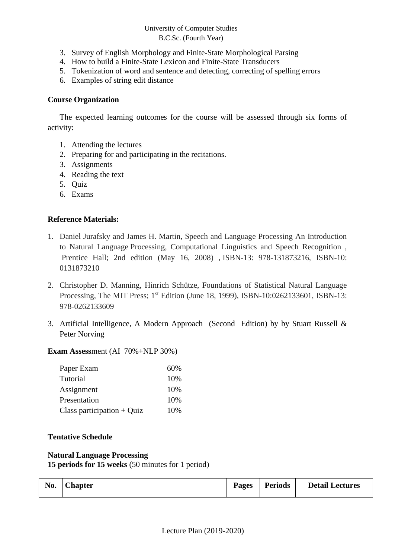- 3. Survey of English Morphology and Finite-State Morphological Parsing
- 4. How to build a Finite-State Lexicon and Finite-State Transducers
- 5. Tokenization of word and sentence and detecting, correcting of spelling errors
- 6. Examples of string edit distance

# **Course Organization**

The expected learning outcomes for the course will be assessed through six forms of activity:

- 1. Attending the lectures
- 2. Preparing for and participating in the recitations.
- 3. Assignments
- 4. Reading the text
- 5. Quiz
- 6. Exams

# **Reference Materials:**

- 1. Daniel Jurafsky and James H. Martin, Speech and Language Processing An Introduction to Natural Language Processing, Computational Linguistics and Speech Recognition , Prentice Hall; 2nd edition (May 16, 2008) , ISBN-13: 978-131873216, ISBN-10: 0131873210
- 2. Christopher D. Manning, Hinrich Schütze, Foundations of Statistical Natural Language Processing, The MIT Press; 1<sup>st</sup> Edition (June 18, 1999), ISBN-10:0262133601, ISBN-13: 978-0262133609
- 3. Artificial Intelligence, A Modern Approach (Second Edition) by by Stuart Russell & Peter Norving

**Exam Assess**ment (AI 70%+NLP 30%)

| Paper Exam                   | 60% |
|------------------------------|-----|
| Tutorial                     | 10% |
| Assignment                   | 10% |
| Presentation                 | 10% |
| Class participation $+$ Quiz | 10% |

#### **Tentative Schedule**

#### **Natural Language Processing 15 periods for 15 weeks** (50 minutes for 1 period)

| No. $ Chapter$ | <b>Pages</b> | <b>Periods</b> | <b>Detail Lectures</b> |
|----------------|--------------|----------------|------------------------|
|                |              |                |                        |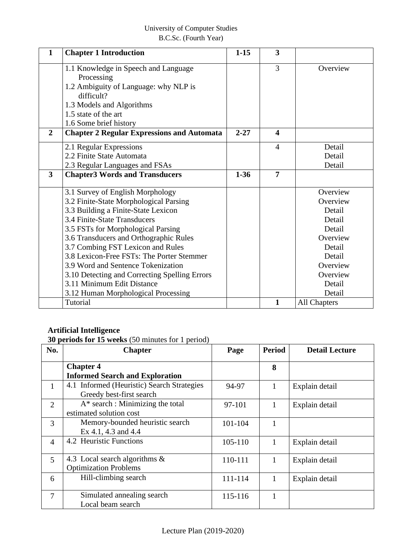| 1              | <b>Chapter 1 Introduction</b>                     | $1 - 15$ | 3                       |              |
|----------------|---------------------------------------------------|----------|-------------------------|--------------|
|                | 1.1 Knowledge in Speech and Language              |          | 3                       | Overview     |
|                | Processing                                        |          |                         |              |
|                | 1.2 Ambiguity of Language: why NLP is             |          |                         |              |
|                | difficult?                                        |          |                         |              |
|                | 1.3 Models and Algorithms                         |          |                         |              |
|                | 1.5 state of the art                              |          |                         |              |
|                | 1.6 Some brief history                            |          |                         |              |
| $\overline{2}$ | <b>Chapter 2 Regular Expressions and Automata</b> | $2 - 27$ | $\overline{\mathbf{4}}$ |              |
|                | 2.1 Regular Expressions                           |          | $\overline{4}$          | Detail       |
|                | 2.2 Finite State Automata                         |          |                         | Detail       |
|                | 2.3 Regular Languages and FSAs                    |          |                         | Detail       |
| 3              | <b>Chapter3 Words and Transducers</b>             | $1 - 36$ | $\overline{7}$          |              |
|                | 3.1 Survey of English Morphology                  |          |                         | Overview     |
|                | 3.2 Finite-State Morphological Parsing            |          |                         | Overview     |
|                | 3.3 Building a Finite-State Lexicon               |          |                         | Detail       |
|                | 3.4 Finite-State Transducers                      |          |                         | Detail       |
|                | 3.5 FSTs for Morphological Parsing                |          |                         | Detail       |
|                | 3.6 Transducers and Orthographic Rules            |          |                         | Overview     |
|                | 3.7 Combing FST Lexicon and Rules                 |          |                         | Detail       |
|                | 3.8 Lexicon-Free FSTs: The Porter Stemmer         |          |                         | Detail       |
|                | 3.9 Word and Sentence Tokenization                |          |                         | Overview     |
|                | 3.10 Detecting and Correcting Spelling Errors     |          |                         | Overview     |
|                | 3.11 Minimum Edit Distance                        |          |                         | Detail       |
|                | 3.12 Human Morphological Processing               |          |                         | Detail       |
|                | Tutorial                                          |          | $\mathbf{1}$            | All Chapters |

# **Artificial Intelligence**

**30 periods for 15 weeks** (50 minutes for 1 period)

| No.            | <b>Chapter</b>                                                         | Page    | <b>Period</b> | <b>Detail Lecture</b> |
|----------------|------------------------------------------------------------------------|---------|---------------|-----------------------|
|                | <b>Chapter 4</b><br><b>Informed Search and Exploration</b>             |         | 8             |                       |
| 1              | 4.1 Informed (Heuristic) Search Strategies<br>Greedy best-first search | 94-97   | $\mathbf{1}$  | Explain detail        |
| 2              | $A^*$ search : Minimizing the total<br>estimated solution cost         | 97-101  | 1             | Explain detail        |
| 3              | Memory-bounded heuristic search<br>Ex 4.1, 4.3 and 4.4                 | 101-104 | 1             |                       |
| $\overline{4}$ | 4.2 Heuristic Functions                                                | 105-110 | 1             | Explain detail        |
| $\overline{5}$ | 4.3 Local search algorithms $\&$<br><b>Optimization Problems</b>       | 110-111 | 1             | Explain detail        |
| 6              | Hill-climbing search                                                   | 111-114 | 1             | Explain detail        |
| 7              | Simulated annealing search<br>Local beam search                        | 115-116 | 1             |                       |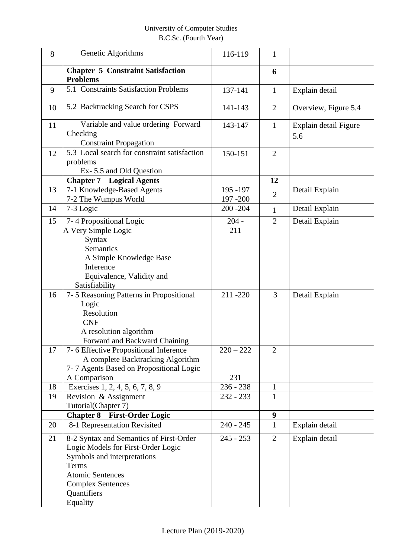| 8  | Genetic Algorithms                                                                                                                                                                                      | 116-119                | $\mathbf{1}$   |                              |
|----|---------------------------------------------------------------------------------------------------------------------------------------------------------------------------------------------------------|------------------------|----------------|------------------------------|
|    | <b>Chapter 5 Constraint Satisfaction</b><br><b>Problems</b>                                                                                                                                             |                        | 6              |                              |
| 9  | 5.1 Constraints Satisfaction Problems                                                                                                                                                                   | 137-141                | $\mathbf{1}$   | Explain detail               |
| 10 | 5.2 Backtracking Search for CSPS                                                                                                                                                                        | 141-143                | $\overline{2}$ | Overview, Figure 5.4         |
| 11 | Variable and value ordering Forward<br>Checking<br><b>Constraint Propagation</b>                                                                                                                        | 143-147                | $\mathbf{1}$   | Explain detail Figure<br>5.6 |
| 12 | 5.3 Local search for constraint satisfaction<br>problems<br>Ex-5.5 and Old Question                                                                                                                     | 150-151                | $\overline{2}$ |                              |
|    | <b>Chapter 7</b> Logical Agents                                                                                                                                                                         |                        | 12             |                              |
| 13 | 7-1 Knowledge-Based Agents<br>7-2 The Wumpus World                                                                                                                                                      | 195 - 197<br>197 - 200 | $\overline{2}$ | Detail Explain               |
| 14 | 7-3 Logic                                                                                                                                                                                               | $200 - 204$            | $\mathbf{1}$   | Detail Explain               |
| 15 | 7-4 Propositional Logic<br>A Very Simple Logic<br>Syntax<br>Semantics<br>A Simple Knowledge Base<br>Inference                                                                                           | $204 -$<br>211         | $\overline{2}$ | Detail Explain               |
|    | Equivalence, Validity and<br>Satisfiability                                                                                                                                                             |                        |                |                              |
| 16 | 7-5 Reasoning Patterns in Propositional<br>Logic<br>Resolution<br><b>CNF</b><br>A resolution algorithm<br>Forward and Backward Chaining                                                                 | 211-220                | 3              | Detail Explain               |
| 17 | 7-6 Effective Propositional Inference<br>A complete Backtracking Algorithm<br>7-7 Agents Based on Propositional Logic<br>A Comparison                                                                   | $220 - 222$<br>231     | $\overline{2}$ |                              |
| 18 | Exercises 1, 2, 4, 5, 6, 7, 8, 9                                                                                                                                                                        | $236 - 238$            | $\mathbf{1}$   |                              |
| 19 | Revision & Assignment<br>Tutorial(Chapter 7)                                                                                                                                                            | $232 - 233$            | $\mathbf{1}$   |                              |
|    | <b>Chapter 8 First-Order Logic</b>                                                                                                                                                                      |                        | 9              |                              |
| 20 | 8-1 Representation Revisited                                                                                                                                                                            | $240 - 245$            | $\mathbf{1}$   | Explain detail               |
| 21 | 8-2 Syntax and Semantics of First-Order<br>Logic Models for First-Order Logic<br>Symbols and interpretations<br>Terms<br><b>Atomic Sentences</b><br><b>Complex Sentences</b><br>Quantifiers<br>Equality | $245 - 253$            | $\overline{2}$ | Explain detail               |